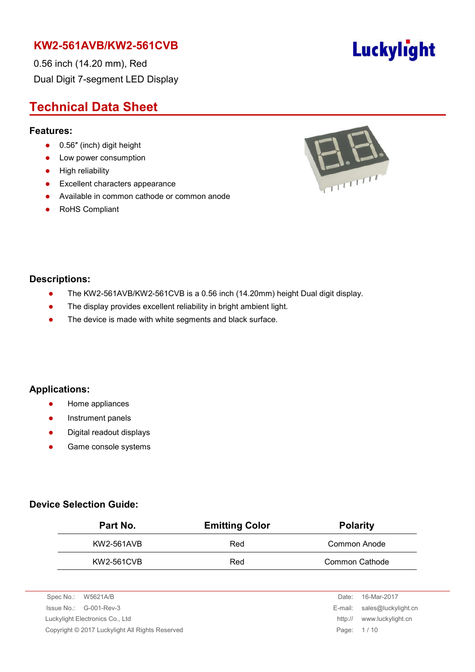0.56 inch (14.20 mm), Red Dual Digit 7-segment LED Display

# **Technical Data Sheet**

#### **Features:**

- 0.56" (inch) digit height
- Low power consumption
- **•** High reliability
- **•** Excellent characters appearance
- Available in common cathode or common anode
- RoHS Compliant



#### **Descriptions:**

- The KW2-561AVB/KW2-561CVB is a 0.56 inch (14.20mm) height Dual digit display.
- The display provides excellent reliability in bright ambient light.
- The device is made with white segments and black surface.

#### **Applications:**

- **•** Home appliances
- **•** Instrument panels
- Digital readout displays
- **•** Game console systems

#### **Device Selection Guide:**

| Part No.   | <b>Emitting Color</b> | <b>Polarity</b> |  |  |
|------------|-----------------------|-----------------|--|--|
| KW2-561AVB | Red                   | Common Anode    |  |  |
| KW2-561CVB | Red                   | Common Cathode  |  |  |

| Spec No.: W5621A/B                                            |                                 | Date:   | 16-Mar-2017                 |
|---------------------------------------------------------------|---------------------------------|---------|-----------------------------|
|                                                               | Issue No.: G-001-Rev-3          |         | E-mail: sales@luckylight.cn |
|                                                               | Luckylight Electronics Co., Ltd | http:// | www.luckylight.cn           |
| Copyright © 2017 Luckylight All Rights Reserved<br>Page: 1/10 |                                 |         |                             |
|                                                               |                                 |         |                             |

# Luckylight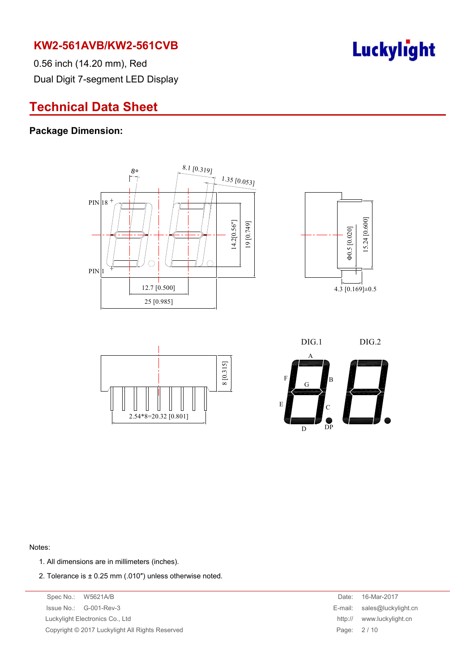

0.56 inch (14.20 mm), Red Dual Digit 7-segment LED Display

# **Technical Data Sheet**

#### **Package Dimension:**









#### Notes:

- 1. All dimensions are in millimeters (inches).
- 2. Tolerance is  $\pm$  0.25 mm (.010") unless otherwise noted.

Spec No.: W5621A/B Date: 16-Mar-2017 Issue No.: G-001-Rev-3 Luckylight Electronics Co., Ltd. Copyright © 2017 Luckylight All Rights Reserved

| Date:   | 16-Mar-2017         |
|---------|---------------------|
| E-mail: | sales@luckylight.cn |
| http:// | www.luckylight.cn   |
| Page:   | 2/10                |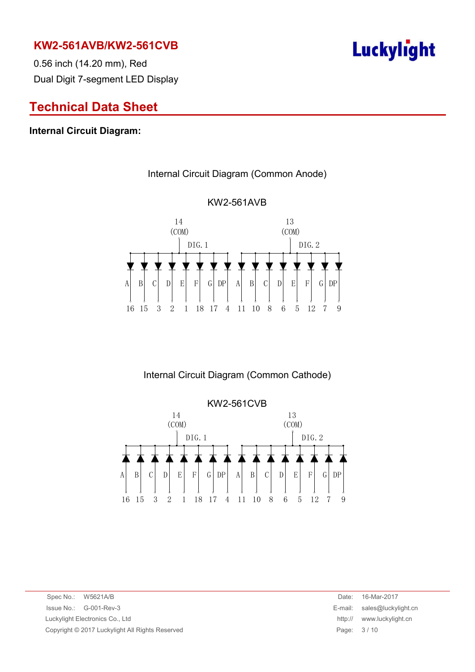0.56 inch (14.20 mm), Red Dual Digit 7-segment LED Display

# **Technical Data Sheet**

#### **Internal Circuit Diagram:**

#### A B C D E F G DP A B C D E F G 16 15 3 2 1 18 17 4 11 10 8 6 5 12 7 9 (COM) 14 DIG.1 13 DIG.2 (COM)  $DP$  A B C D E F G DP

Internal Circuit Diagram (Common Anode)

KW2-561AVB

Internal Circuit Diagram (Common Cathode)



Spec No.: W5621A/B Date: 16-Mar-2017 Issue No.: G-001-Rev-3 E-mail: sales@luckylight.cn Luckylight Electronics Co., Ltd http:// www.luckylight.cn Copyright © 2017 Luckylight All Rights Reserved **Page: 3 / 10** Page: 3 / 10

# **Luckylight**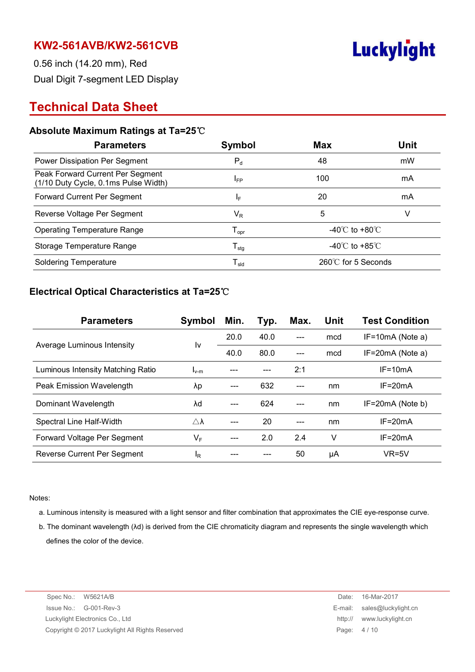

0.56 inch (14.20 mm), Red Dual Digit 7-segment LED Display

# **Technical Data Sheet**

#### **Absolute Maximum Ratings at Ta=25**℃

| <b>Parameters</b>                                                        | Symbol                       | <b>Max</b>                         | <b>Unit</b> |
|--------------------------------------------------------------------------|------------------------------|------------------------------------|-------------|
| Power Dissipation Per Segment                                            | $P_{d}$                      | 48                                 | mW          |
| Peak Forward Current Per Segment<br>(1/10 Duty Cycle, 0.1ms Pulse Width) | $I_{FP}$                     | 100                                | mA          |
| Forward Current Per Segment                                              | IF.                          | 20                                 | mA          |
| Reverse Voltage Per Segment                                              | $\mathsf{V}_\mathsf{R}$      | 5                                  | V           |
| <b>Operating Temperature Range</b>                                       | ${\mathsf T}_{\mathsf{opr}}$ | -40 $\degree$ C to +80 $\degree$ C |             |
| Storage Temperature Range                                                | ${\mathsf T}_{\text{stg}}$   | $-40^{\circ}$ C to $+85^{\circ}$ C |             |
| <b>Soldering Temperature</b>                                             | ${\mathsf T}_{\textsf{sld}}$ | 260℃ for 5 Seconds                 |             |

#### **Electrical Optical Characteristics at Ta=25**℃

| <b>Parameters</b>                 | Symbol              | Min. | Typ. | Max. | <b>Unit</b> | <b>Test Condition</b> |
|-----------------------------------|---------------------|------|------|------|-------------|-----------------------|
|                                   |                     | 20.0 | 40.0 |      | mcd         | $IF=10mA$ (Note a)    |
| Average Luminous Intensity        | l٧                  | 40.0 | 80.0 | ---  | mcd         | $IF=20mA$ (Note a)    |
| Luminous Intensity Matching Ratio | $I_{v-m}$           |      |      | 2:1  |             | $IF=10mA$             |
| Peak Emission Wavelength          | λp                  |      | 632  |      | nm          | $IF = 20mA$           |
| Dominant Wavelength               | λd                  |      | 624  |      | nm          | IF=20mA (Note b)      |
| Spectral Line Half-Width          | $\triangle \lambda$ |      | 20   |      | nm          | $IF = 20mA$           |
| Forward Voltage Per Segment       | $V_F$               |      | 2.0  | 2.4  | V           | $IF=20mA$             |
| Reverse Current Per Segment       | <sup>I</sup> R      |      |      | 50   | μA          | $VR=5V$               |

Notes:

- a. Luminous intensity is measured with a light sensor and filter combination that approximates the CIE eye-response curve.
- b. The dominant wavelength (λd) is derived from the CIE chromaticity diagram and represents the single wavelength which defines the color of the device.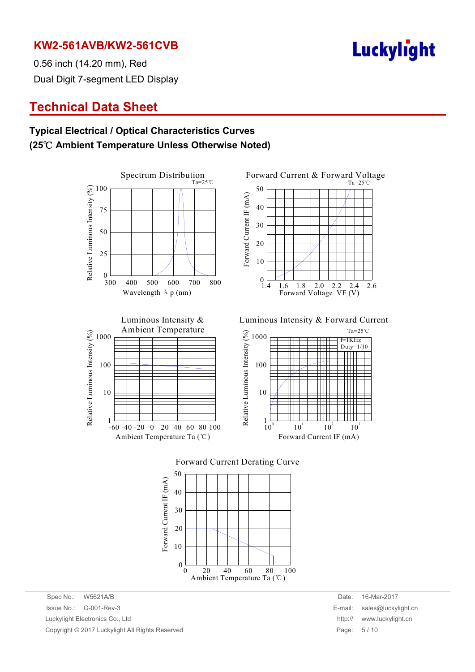**Luckylight** 

0.56 inch (14.20 mm), Red Dual Digit 7-segment LED Display

# **Technical Data Sheet**

### **Typical Electrical / Optical Characteristics Curves (25**℃ **Ambient Temperature Unless Otherwise Noted)**





Luminous Intensity & Ambient Temperature Relative Luminous Intensity (%) Relative Luminous Intensity (%) 1000 100 10 1  $-60 - 40 - 20 = 0$ 20 40 60 80 100 Ambient Temperature Ta (℃)

Luminous Intensity & Forward Current







Spec No.: W5621A/B Date: 16-Mar-2017 Issue No.: G-001-Rev-3 E-mail: sales@luckylight.cn Luckylight Electronics Co., Ltd http:// www.luckylight.cn Copyright © 2017 Luckylight All Rights Reserved **Page: 5 / 10** Page: 5 / 10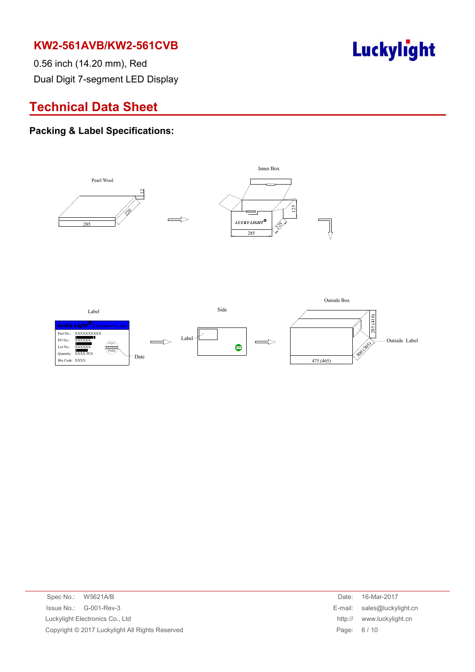Luckylight

0.56 inch (14.20 mm), Red Dual Digit 7-segment LED Display

# **Technical Data Sheet**

#### **Packing & Label Specifications:**



| Spec No.: W5621A/B                              | Date:      | 16-Mar-2017                 |
|-------------------------------------------------|------------|-----------------------------|
| $\ssue No.: \, G-001-Rev-3$                     |            | E-mail: sales@luckylight.cn |
| Luckylight Electronics Co., Ltd                 | http://    | www.luckylight.cn           |
| Copyright © 2017 Luckylight All Rights Reserved | Page: 6/10 |                             |
|                                                 |            |                             |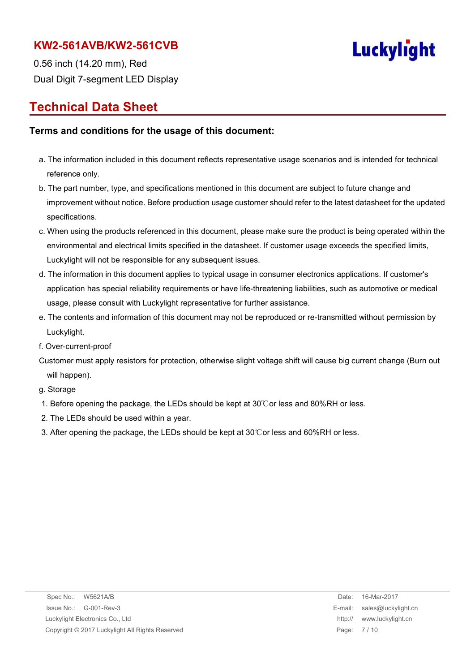

0.56 inch (14.20 mm), Red Dual Digit 7-segment LED Display

# **Technical Data Sheet**

#### **Terms and conditions for the usage of this document:**

- a. The information included in this document reflects representative usage scenarios and is intended for technical reference only.
- b. The part number, type, and specifications mentioned in this document are subject to future change and improvement without notice. Before production usage customer should refer to the latest datasheet for the updated specifications.
- c. When using the products referenced in this document, please make sure the product is being operated within the environmental and electrical limits specified in the datasheet. If customer usage exceeds the specified limits, Luckylight will not be responsible for any subsequent issues.
- d. The information in this document applies to typical usage in consumer electronics applications. If customer's application has special reliability requirements or have life-threatening liabilities, such as automotive or medical usage, please consult with Luckylight representative for further assistance.
- e. The contents and information of this document may not be reproduced or re-transmitted without permission by Luckylight.
- f. Over-current-proof
- Customer must apply resistors for protection, otherwise slight voltage shift will cause big current change (Burn out will happen).

g. Storage

- 1. Before opening the package, the LEDs should be kept at 30℃or less and 80%RH or less.
- 2. The LEDs should be used within a year.
- 3. After opening the package, the LEDs should be kept at 30℃or less and 60%RH or less.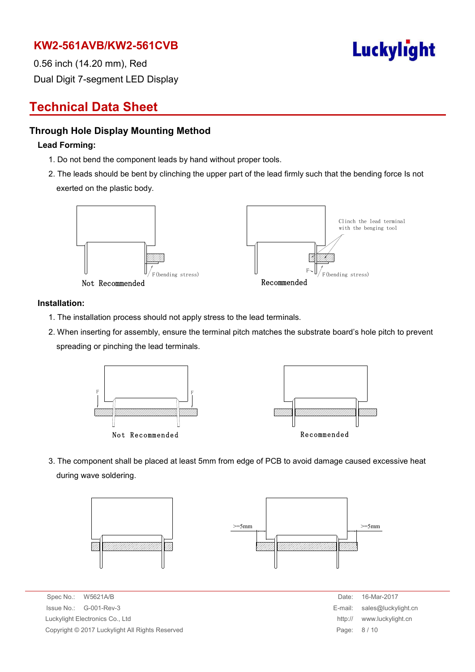

0.56 inch (14.20 mm), Red Dual Digit 7-segment LED Display

# **Technical Data Sheet**

#### **Through Hole Display Mounting Method**

#### **Lead Forming:**

- 1. Do not bend the component leads by hand without proper tools.
- 2. The leads should be bent by clinching the upper part of the lead firmly such that the bending force Is not exerted on the plastic body.



#### **Installation:**

- 1. The installation process should not apply stress to the lead terminals.
- 2. When inserting for assembly, ensure the terminal pitch matches the substrate board's hole pitch to prevent spreading or pinching the lead terminals.



3. The component shall be placed at least 5mm from edge of PCB to avoid damage caused excessive heat during wave soldering.



Spec No.: W5621A/B Date: 16-Mar-2017  $Is sue No.: G-001-Rev-3$ Luckylight Electronics Co., Ltd. Copyright © 2017 Luckylight All Rights Reserved

| Date:   | 16-Mar-2017         |
|---------|---------------------|
| E-mail: | sales@luckylight.cn |
| http:// | www.luckylight.cn   |
| Page:   | 8/10                |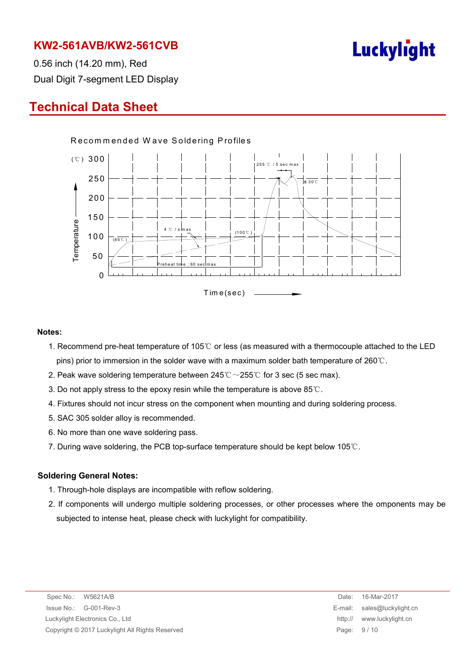

0.56 inch (14.20 mm), Red Dual Digit 7-segment LED Display

# **Technical Data Sheet**



#### **Notes:**

- 1. Recommend pre-heat temperature of 105℃ or less (as measured with a thermocouple attached to the LED pins) prior to immersion in the solder wave with a maximum solder bath temperature of 260℃.
- 2. Peak wave soldering temperature between  $245^{\circ}\text{C} \sim 255^{\circ}\text{C}$  for 3 sec (5 sec max).
- 3. Do not apply stress to the epoxy resin while the temperature is above 85℃.
- 4. Fixtures should not incur stress on the component when mounting and during soldering process.
- 5. SAC 305 solder alloy is recommended.
- 6. No more than one wave soldering pass.
- 7. During wave soldering, the PCB top-surface temperature should be kept below 105℃.

#### **Soldering General Notes:**

- 1. Through-hole displays are incompatible with reflow soldering.
- 2. If components will undergo multiple soldering processes, or other processes where the omponents may be subjected to intense heat, please check with luckylight for compatibility.